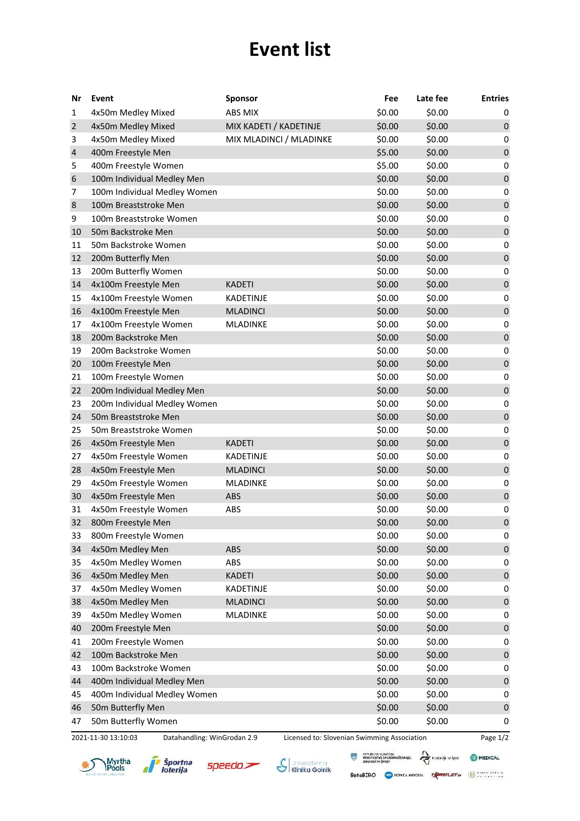## **Event list**

| Nr             | Event                                              | <b>Sponsor</b>          |                                             | Fee    | Late fee | <b>Entries</b> |
|----------------|----------------------------------------------------|-------------------------|---------------------------------------------|--------|----------|----------------|
| 1              | 4x50m Medley Mixed                                 | ABS MIX                 |                                             | \$0.00 | \$0.00   | 0              |
| $\overline{2}$ | 4x50m Medley Mixed                                 | MIX KADETI / KADETINJE  |                                             | \$0.00 | \$0.00   | $\pmb{0}$      |
| 3              | 4x50m Medley Mixed                                 | MIX MLADINCI / MLADINKE |                                             | \$0.00 | \$0.00   | 0              |
| 4              | 400m Freestyle Men                                 |                         |                                             | \$5.00 | \$0.00   | $\pmb{0}$      |
| 5              | 400m Freestyle Women                               |                         |                                             | \$5.00 | \$0.00   | 0              |
| 6              | 100m Individual Medley Men                         |                         |                                             | \$0.00 | \$0.00   | $\pmb{0}$      |
| 7              | 100m Individual Medley Women                       |                         |                                             | \$0.00 | \$0.00   | 0              |
| 8              | 100m Breaststroke Men                              |                         |                                             | \$0.00 | \$0.00   | $\pmb{0}$      |
| 9              | 100m Breaststroke Women                            |                         |                                             | \$0.00 | \$0.00   | 0              |
| 10             | 50m Backstroke Men                                 |                         |                                             | \$0.00 | \$0.00   | $\pmb{0}$      |
| 11             | 50m Backstroke Women                               |                         |                                             | \$0.00 | \$0.00   | 0              |
| 12             | 200m Butterfly Men                                 |                         |                                             | \$0.00 | \$0.00   | $\pmb{0}$      |
| 13             | 200m Butterfly Women                               |                         |                                             | \$0.00 | \$0.00   | 0              |
| 14             | 4x100m Freestyle Men                               | <b>KADETI</b>           |                                             | \$0.00 | \$0.00   | $\pmb{0}$      |
| 15             | 4x100m Freestyle Women                             | <b>KADETINJE</b>        |                                             | \$0.00 | \$0.00   | 0              |
| 16             | 4x100m Freestyle Men                               | <b>MLADINCI</b>         |                                             | \$0.00 | \$0.00   | $\pmb{0}$      |
| 17             | 4x100m Freestyle Women                             | MLADINKE                |                                             | \$0.00 | \$0.00   | 0              |
| 18             | 200m Backstroke Men                                |                         |                                             | \$0.00 | \$0.00   | $\pmb{0}$      |
| 19             | 200m Backstroke Women                              |                         |                                             | \$0.00 | \$0.00   | 0              |
| 20             | 100m Freestyle Men                                 |                         |                                             | \$0.00 | \$0.00   | $\pmb{0}$      |
| 21             | 100m Freestyle Women                               |                         |                                             | \$0.00 | \$0.00   | 0              |
| 22             | 200m Individual Medley Men                         |                         |                                             | \$0.00 | \$0.00   | $\pmb{0}$      |
| 23             | 200m Individual Medley Women                       |                         |                                             | \$0.00 | \$0.00   | 0              |
| 24             | 50m Breaststroke Men                               |                         |                                             | \$0.00 | \$0.00   | $\pmb{0}$      |
| 25             | 50m Breaststroke Women                             |                         |                                             | \$0.00 | \$0.00   | 0              |
| 26             | 4x50m Freestyle Men                                | <b>KADETI</b>           |                                             | \$0.00 | \$0.00   | $\pmb{0}$      |
| 27             | 4x50m Freestyle Women                              | KADETINJE               |                                             | \$0.00 | \$0.00   | 0              |
| 28             | 4x50m Freestyle Men                                | <b>MLADINCI</b>         |                                             | \$0.00 | \$0.00   | $\pmb{0}$      |
| 29             | 4x50m Freestyle Women                              | <b>MLADINKE</b>         |                                             | \$0.00 | \$0.00   | 0              |
| 30             | 4x50m Freestyle Men                                | ABS                     |                                             | \$0.00 | \$0.00   | $\pmb{0}$      |
| 31             | 4x50m Freestyle Women                              | ABS                     |                                             | \$0.00 | \$0.00   | 0              |
| 32             | 800m Freestyle Men                                 |                         |                                             | \$0.00 | \$0.00   | $\pmb{0}$      |
| 33             | 800m Freestyle Women                               |                         |                                             | \$0.00 | \$0.00   | 0              |
| 34             | 4x50m Medley Men                                   | <b>ABS</b>              |                                             | \$0.00 | \$0.00   | $\pmb{0}$      |
| 35             | 4x50m Medley Women                                 | <b>ABS</b>              |                                             | \$0.00 | \$0.00   | 0              |
| 36             | 4x50m Medley Men                                   | <b>KADETI</b>           |                                             | \$0.00 | \$0.00   | $\pmb{0}$      |
| 37             | 4x50m Medley Women                                 | KADETINJE               |                                             | \$0.00 | \$0.00   | 0              |
| 38             | 4x50m Medley Men                                   | <b>MLADINCI</b>         |                                             | \$0.00 | \$0.00   | $\pmb{0}$      |
| 39             | 4x50m Medley Women                                 | MLADINKE                |                                             | \$0.00 | \$0.00   | 0              |
| 40             | 200m Freestyle Men                                 |                         |                                             | \$0.00 | \$0.00   | $\pmb{0}$      |
| 41             | 200m Freestyle Women                               |                         |                                             | \$0.00 | \$0.00   | 0              |
| 42             | 100m Backstroke Men                                |                         |                                             | \$0.00 | \$0.00   | $\pmb{0}$      |
| 43             | 100m Backstroke Women                              |                         |                                             | \$0.00 | \$0.00   | 0              |
| 44             | 400m Individual Medley Men                         |                         |                                             | \$0.00 | \$0.00   | $\pmb{0}$      |
| 45             | 400m Individual Medley Women                       |                         |                                             | \$0.00 | \$0.00   | 0              |
| 46             | 50m Butterfly Men                                  |                         |                                             | \$0.00 | \$0.00   | $\pmb{0}$      |
| 47             | 50m Butterfly Women                                |                         |                                             | \$0.00 | \$0.00   | 0              |
|                | 2021-11-30 13:10:03<br>Datahandling: WinGrodan 2.9 |                         | Licensed to: Slovenian Swimming Association |        |          | Page 1/2       |



*i* Športna<br>Ioterija

øl

 $specdo$ 

S Klinika Golnik

**EN REPUBLICA SLOVENIJA**<br>**MINISTRISTING ZA IZOBRAŽEVANJE.**<br>ZNANOST IN ŠPORT BetaBIRO CRONICA MINORIA TENSION DE CALIFICA